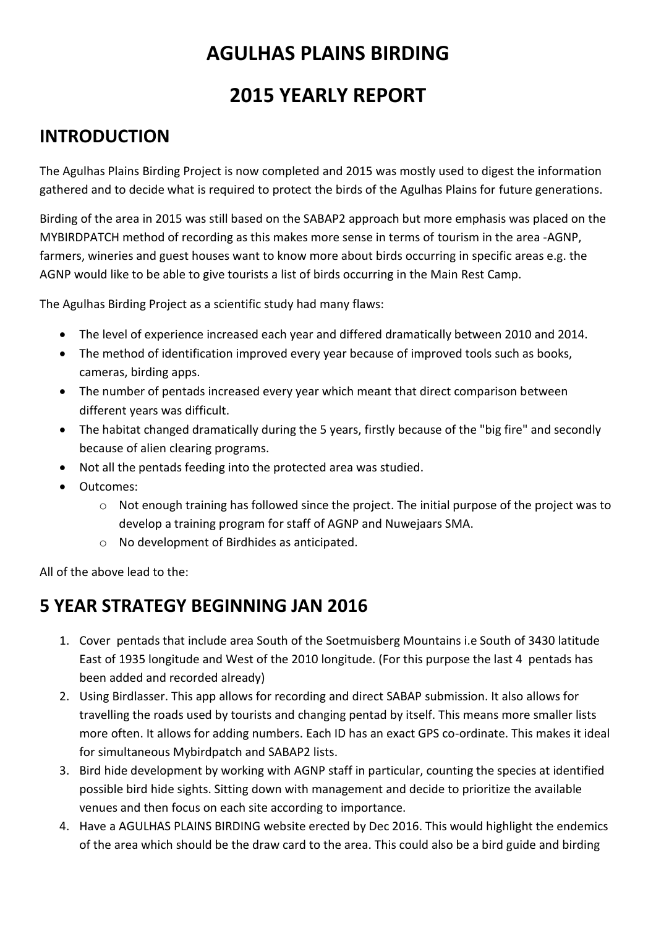# **AGULHAS PLAINS BIRDING**

## **2015 YEARLY REPORT**

#### **INTRODUCTION**

The Agulhas Plains Birding Project is now completed and 2015 was mostly used to digest the information gathered and to decide what is required to protect the birds of the Agulhas Plains for future generations.

Birding of the area in 2015 was still based on the SABAP2 approach but more emphasis was placed on the MYBIRDPATCH method of recording as this makes more sense in terms of tourism in the area -AGNP, farmers, wineries and guest houses want to know more about birds occurring in specific areas e.g. the AGNP would like to be able to give tourists a list of birds occurring in the Main Rest Camp.

The Agulhas Birding Project as a scientific study had many flaws:

- The level of experience increased each year and differed dramatically between 2010 and 2014.
- The method of identification improved every year because of improved tools such as books, cameras, birding apps.
- The number of pentads increased every year which meant that direct comparison between different years was difficult.
- The habitat changed dramatically during the 5 years, firstly because of the "big fire" and secondly because of alien clearing programs.
- Not all the pentads feeding into the protected area was studied.
- Outcomes:
	- o Not enough training has followed since the project. The initial purpose of the project was to develop a training program for staff of AGNP and Nuwejaars SMA.
	- o No development of Birdhides as anticipated.

All of the above lead to the:

#### **5 YEAR STRATEGY BEGINNING JAN 2016**

- 1. Cover pentads that include area South of the Soetmuisberg Mountains i.e South of 3430 latitude East of 1935 longitude and West of the 2010 longitude. (For this purpose the last 4 pentads has been added and recorded already)
- 2. Using Birdlasser. This app allows for recording and direct SABAP submission. It also allows for travelling the roads used by tourists and changing pentad by itself. This means more smaller lists more often. It allows for adding numbers. Each ID has an exact GPS co-ordinate. This makes it ideal for simultaneous Mybirdpatch and SABAP2 lists.
- 3. Bird hide development by working with AGNP staff in particular, counting the species at identified possible bird hide sights. Sitting down with management and decide to prioritize the available venues and then focus on each site according to importance.
- 4. Have a AGULHAS PLAINS BIRDING website erected by Dec 2016. This would highlight the endemics of the area which should be the draw card to the area. This could also be a bird guide and birding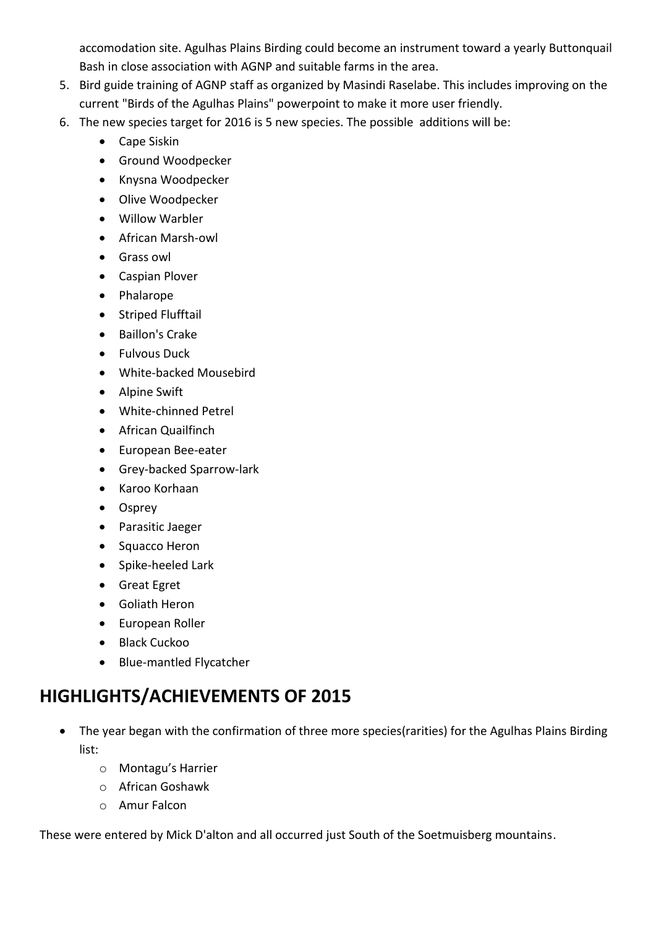accomodation site. Agulhas Plains Birding could become an instrument toward a yearly Buttonquail Bash in close association with AGNP and suitable farms in the area.

- 5. Bird guide training of AGNP staff as organized by Masindi Raselabe. This includes improving on the current "Birds of the Agulhas Plains" powerpoint to make it more user friendly.
- 6. The new species target for 2016 is 5 new species. The possible additions will be:
	- Cape Siskin
	- **•** Ground Woodpecker
	- Knysna Woodpecker
	- Olive Woodpecker
	- Willow Warbler
	- African Marsh-owl
	- **•** Grass owl
	- Caspian Plover
	- Phalarope
	- Striped Flufftail
	- Baillon's Crake
	- **•** Fulvous Duck
	- White-backed Mousebird
	- Alpine Swift
	- White-chinned Petrel
	- African Quailfinch
	- European Bee-eater
	- Grey-backed Sparrow-lark
	- Karoo Korhaan
	- Osprey
	- Parasitic Jaeger
	- Squacco Heron
	- Spike-heeled Lark
	- Great Egret
	- Goliath Heron
	- European Roller
	- Black Cuckoo
	- Blue-mantled Flycatcher

### **HIGHLIGHTS/ACHIEVEMENTS OF 2015**

- The year began with the confirmation of three more species(rarities) for the Agulhas Plains Birding list:
	- o Montagu's Harrier
	- o African Goshawk
	- o Amur Falcon

These were entered by Mick D'alton and all occurred just South of the Soetmuisberg mountains.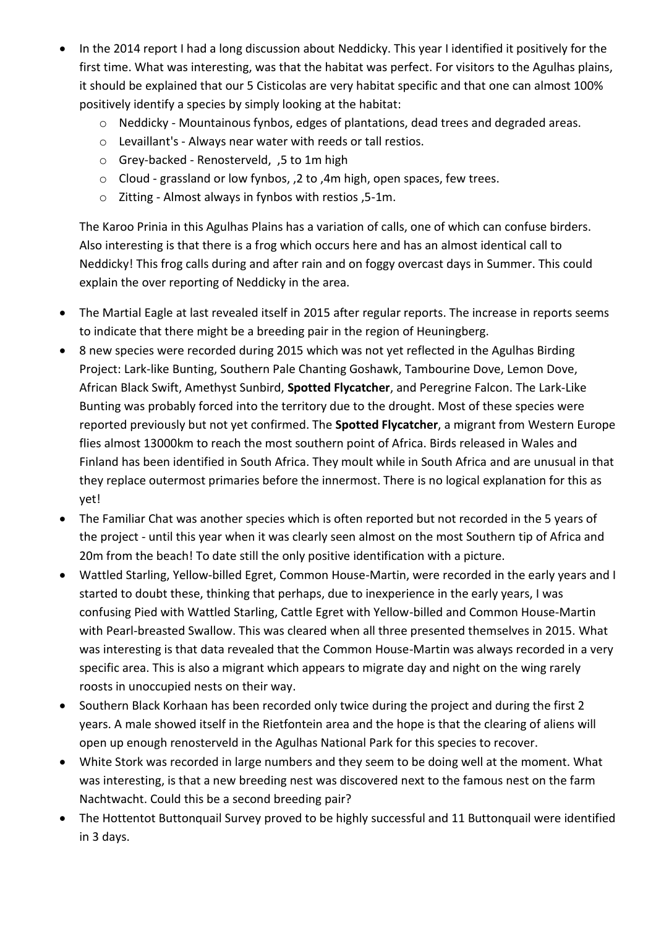- In the 2014 report I had a long discussion about Neddicky. This year I identified it positively for the first time. What was interesting, was that the habitat was perfect. For visitors to the Agulhas plains, it should be explained that our 5 Cisticolas are very habitat specific and that one can almost 100% positively identify a species by simply looking at the habitat:
	- o Neddicky Mountainous fynbos, edges of plantations, dead trees and degraded areas.
	- o Levaillant's Always near water with reeds or tall restios.
	- o Grey-backed Renosterveld, ,5 to 1m high
	- o Cloud grassland or low fynbos, ,2 to ,4m high, open spaces, few trees.
	- o Zitting Almost always in fynbos with restios ,5-1m.

The Karoo Prinia in this Agulhas Plains has a variation of calls, one of which can confuse birders. Also interesting is that there is a frog which occurs here and has an almost identical call to Neddicky! This frog calls during and after rain and on foggy overcast days in Summer. This could explain the over reporting of Neddicky in the area.

- The Martial Eagle at last revealed itself in 2015 after regular reports. The increase in reports seems to indicate that there might be a breeding pair in the region of Heuningberg.
- 8 new species were recorded during 2015 which was not yet reflected in the Agulhas Birding Project: Lark-like Bunting, Southern Pale Chanting Goshawk, Tambourine Dove, Lemon Dove, African Black Swift, Amethyst Sunbird, **Spotted Flycatcher**, and Peregrine Falcon. The Lark-Like Bunting was probably forced into the territory due to the drought. Most of these species were reported previously but not yet confirmed. The **Spotted Flycatcher**, a migrant from Western Europe flies almost 13000km to reach the most southern point of Africa. Birds released in Wales and Finland has been identified in South Africa. They moult while in South Africa and are unusual in that they replace outermost primaries before the innermost. There is no logical explanation for this as yet!
- The Familiar Chat was another species which is often reported but not recorded in the 5 years of the project - until this year when it was clearly seen almost on the most Southern tip of Africa and 20m from the beach! To date still the only positive identification with a picture.
- Wattled Starling, Yellow-billed Egret, Common House-Martin, were recorded in the early years and I started to doubt these, thinking that perhaps, due to inexperience in the early years, I was confusing Pied with Wattled Starling, Cattle Egret with Yellow-billed and Common House-Martin with Pearl-breasted Swallow. This was cleared when all three presented themselves in 2015. What was interesting is that data revealed that the Common House-Martin was always recorded in a very specific area. This is also a migrant which appears to migrate day and night on the wing rarely roosts in unoccupied nests on their way.
- Southern Black Korhaan has been recorded only twice during the project and during the first 2 years. A male showed itself in the Rietfontein area and the hope is that the clearing of aliens will open up enough renosterveld in the Agulhas National Park for this species to recover.
- White Stork was recorded in large numbers and they seem to be doing well at the moment. What was interesting, is that a new breeding nest was discovered next to the famous nest on the farm Nachtwacht. Could this be a second breeding pair?
- The Hottentot Buttonquail Survey proved to be highly successful and 11 Buttonquail were identified in 3 days.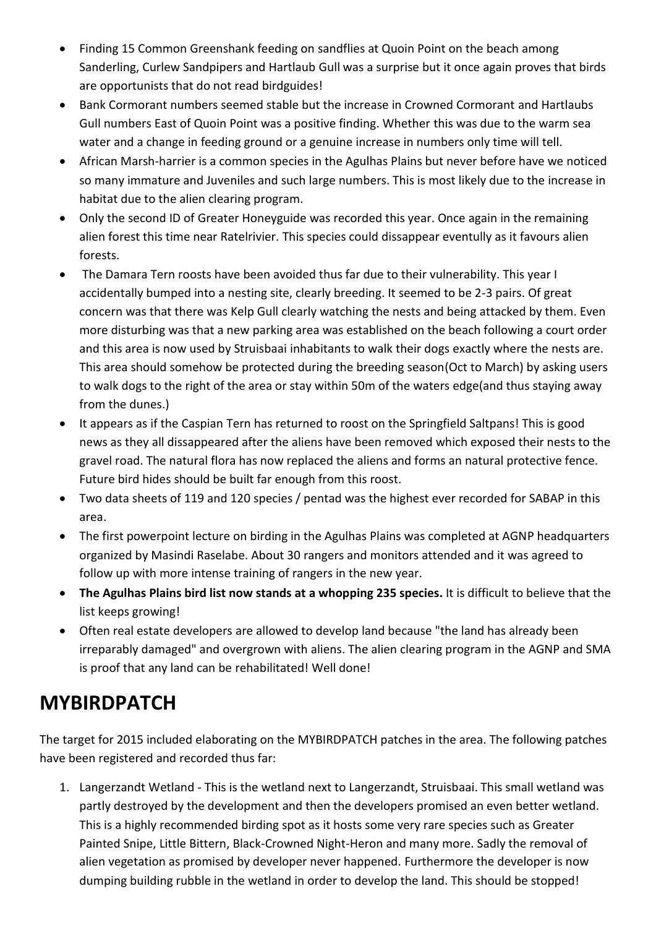- Finding 15 Common Greenshank feeding on sandflies at Quoin Point on the beach among Sanderling, Curlew Sandpipers and Hartlaub Gull was a surprise but it once again proves that birds are opportunists that do not read birdguides!
- Bank Cormorant numbers seemed stable but the increase in Crowned Cormorant and Hartlaubs Gull numbers East of Quoin Point was a positive finding. Whether this was due to the warm sea water and a change in feeding ground or a genuine increase in numbers only time will tell.
- African Marsh-harrier is a common species in the Agulhas Plains but never before have we noticed so many immature and Juveniles and such large numbers. This is most likely due to the increase in habitat due to the alien clearing program.
- Only the second ID of Greater Honeyguide was recorded this year. Once again in the remaining alien forest this time near Ratelrivier. This species could dissappear eventully as it favours alien forests.
- The Damara Tern roosts have been avoided thus far due to their vulnerability. This year I accidentally bumped into a nesting site, clearly breeding. It seemed to be 2-3 pairs. Of great concern was that there was Kelp Gull clearly watching the nests and being attacked by them. Even more disturbing was that a new parking area was established on the beach following a court order and this area is now used by Struisbaai inhabitants to walk their dogs exactly where the nests are. This area should somehow be protected during the breeding season(Oct to March) by asking users to walk dogs to the right of the area or stay within 50m of the waters edge(and thus staying away from the dunes.)
- It appears as if the Caspian Tern has returned to roost on the Springfield Saltpans! This is good news as they all dissappeared after the aliens have been removed which exposed their nests to the gravel road. The natural flora has now replaced the aliens and forms an natural protective fence. Future bird hides should be built far enough from this roost.
- Two data sheets of 119 and 120 species / pentad was the highest ever recorded for SABAP in this area.
- The first powerpoint lecture on birding in the Agulhas Plains was completed at AGNP headquarters organized by Masindi Raselabe. About 30 rangers and monitors attended and it was agreed to follow up with more intense training of rangers in the new year.
- **The Agulhas Plains bird list now stands at a whopping 235 species.** It is difficult to believe that the list keeps growing!
- Often real estate developers are allowed to develop land because "the land has already been irreparably damaged" and overgrown with aliens. The alien clearing program in the AGNP and SMA is proof that any land can be rehabilitated! Well done!

# **MYBIRDPATCH**

The target for 2015 included elaborating on the MYBIRDPATCH patches in the area. The following patches have been registered and recorded thus far:

1. Langerzandt Wetland - This is the wetland next to Langerzandt, Struisbaai. This small wetland was partly destroyed by the development and then the developers promised an even better wetland. This is a highly recommended birding spot as it hosts some very rare species such as Greater Painted Snipe, Little Bittern, Black-Crowned Night-Heron and many more. Sadly the removal of alien vegetation as promised by developer never happened. Furthermore the developer is now dumping building rubble in the wetland in order to develop the land. This should be stopped!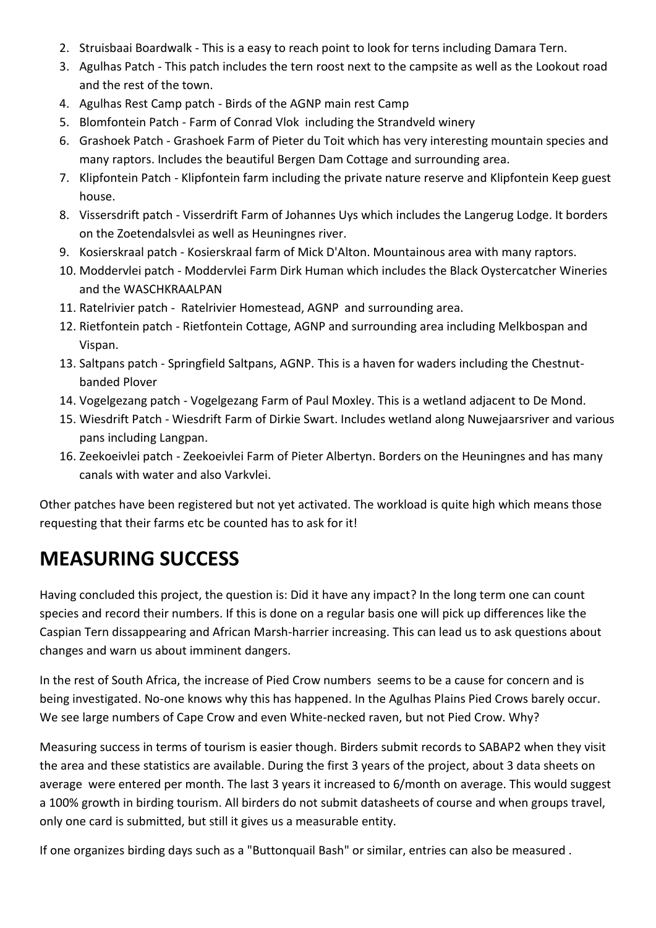- 2. Struisbaai Boardwalk This is a easy to reach point to look for terns including Damara Tern.
- 3. Agulhas Patch This patch includes the tern roost next to the campsite as well as the Lookout road and the rest of the town.
- 4. Agulhas Rest Camp patch Birds of the AGNP main rest Camp
- 5. Blomfontein Patch Farm of Conrad Vlok including the Strandveld winery
- 6. Grashoek Patch Grashoek Farm of Pieter du Toit which has very interesting mountain species and many raptors. Includes the beautiful Bergen Dam Cottage and surrounding area.
- 7. Klipfontein Patch Klipfontein farm including the private nature reserve and Klipfontein Keep guest house.
- 8. Vissersdrift patch Visserdrift Farm of Johannes Uys which includes the Langerug Lodge. It borders on the Zoetendalsvlei as well as Heuningnes river.
- 9. Kosierskraal patch Kosierskraal farm of Mick D'Alton. Mountainous area with many raptors.
- 10. Moddervlei patch Moddervlei Farm Dirk Human which includes the Black Oystercatcher Wineries and the WASCHKRAALPAN
- 11. Ratelrivier patch Ratelrivier Homestead, AGNP and surrounding area.
- 12. Rietfontein patch Rietfontein Cottage, AGNP and surrounding area including Melkbospan and Vispan.
- 13. Saltpans patch Springfield Saltpans, AGNP. This is a haven for waders including the Chestnutbanded Plover
- 14. Vogelgezang patch Vogelgezang Farm of Paul Moxley. This is a wetland adjacent to De Mond.
- 15. Wiesdrift Patch Wiesdrift Farm of Dirkie Swart. Includes wetland along Nuwejaarsriver and various pans including Langpan.
- 16. Zeekoeivlei patch Zeekoeivlei Farm of Pieter Albertyn. Borders on the Heuningnes and has many canals with water and also Varkvlei.

Other patches have been registered but not yet activated. The workload is quite high which means those requesting that their farms etc be counted has to ask for it!

# **MEASURING SUCCESS**

Having concluded this project, the question is: Did it have any impact? In the long term one can count species and record their numbers. If this is done on a regular basis one will pick up differences like the Caspian Tern dissappearing and African Marsh-harrier increasing. This can lead us to ask questions about changes and warn us about imminent dangers.

In the rest of South Africa, the increase of Pied Crow numbers seems to be a cause for concern and is being investigated. No-one knows why this has happened. In the Agulhas Plains Pied Crows barely occur. We see large numbers of Cape Crow and even White-necked raven, but not Pied Crow. Why?

Measuring success in terms of tourism is easier though. Birders submit records to SABAP2 when they visit the area and these statistics are available. During the first 3 years of the project, about 3 data sheets on average were entered per month. The last 3 years it increased to 6/month on average. This would suggest a 100% growth in birding tourism. All birders do not submit datasheets of course and when groups travel, only one card is submitted, but still it gives us a measurable entity.

If one organizes birding days such as a "Buttonquail Bash" or similar, entries can also be measured .